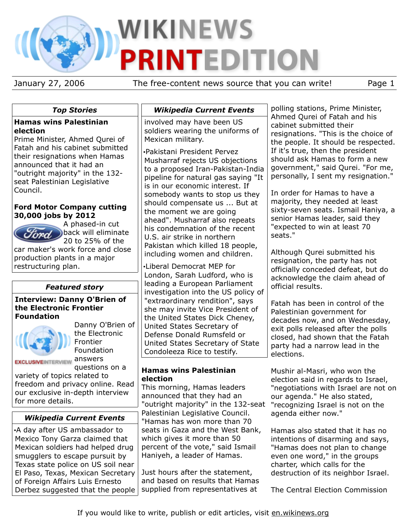# WIKINEWS **PRINTEDITION**

January 27, 2006 The free-content news source that you can write! Page 1

|  | <b>Top Stories</b> |
|--|--------------------|
|--|--------------------|

# **Hamas wins Palestinian election**

Prime Minister, Ahmed Qurei of Fatah and his cabinet submitted their resignations when Hamas announced that it had an "outright majority" in the 132 seat Palestinian Legislative Council.

# **Ford Motor Company cutting 30,000 jobs by 2012**



A phased-in cut back will eliminate 20 to 25% of the

car maker's work force and close production plants in a major restructuring plan.

# *Featured story*

#### **Interview: Danny O'Brien of the Electronic Frontier Foundation**



Danny O'Brien of the Electronic Frontier Foundation **EXCLUSIVEINTERVIEW ANSWETS** questions on a

variety of topics related to freedom and privacy online. Read our exclusive in-depth interview for more details.

# *Wikipedia Current Events*

•A day after US ambassador to Mexico Tony Garza claimed that Mexican soldiers had helped drug smugglers to escape pursuit by Texas state police on US soil near El Paso, Texas, Mexican Secretary of Foreign Affairs Luis Ernesto Derbez suggested that the people

# *Wikipedia Current Events*

involved may have been US soldiers wearing the uniforms of Mexican military.

•Pakistani President Pervez Musharraf rejects US objections to a proposed Iran-Pakistan-India pipeline for natural gas saying "It is in our economic interest. If somebody wants to stop us they should compensate us ... But at the moment we are going ahead". Musharraf also repeats his condemnation of the recent U.S. air strike in northern Pakistan which killed 18 people, including women and children.

•Liberal Democrat MEP for London, Sarah Ludford, who is leading a European Parliament investigation into the US policy of "extraordinary rendition", says she may invite Vice President of the United States Dick Cheney, United States Secretary of Defense Donald Rumsfeld or United States Secretary of State Condoleeza Rice to testify.

# **Hamas wins Palestinian election**

This morning, Hamas leaders announced that they had an "outright majority" in the 132-seat "recognizing Israel is not on the Palestinian Legislative Council. "Hamas has won more than 70 seats in Gaza and the West Bank, which gives it more than 50 percent of the vote," said Ismail Haniyeh, a leader of Hamas.

Just hours after the statement, and based on results that Hamas supplied from representatives at

polling stations, Prime Minister, Ahmed Qurei of Fatah and his cabinet submitted their resignations. "This is the choice of the people. It should be respected. If it's true, then the president should ask Hamas to form a new government," said Qurei. "For me, personally, I sent my resignation."

In order for Hamas to have a majority, they needed at least sixty-seven seats. Ismail Haniya, a senior Hamas leader, said they "expected to win at least 70 seats."

Although Qurei submitted his resignation, the party has not officially conceded defeat, but do acknowledge the claim ahead of official results.

Fatah has been in control of the Palestinian government for decades now, and on Wednesday, exit polls released after the polls closed, had shown that the Fatah party had a narrow lead in the elections.

Mushir al-Masri, who won the election said in regards to Israel, "negotiations with Israel are not on our agenda." He also stated, agenda either now."

Hamas also stated that it has no intentions of disarming and says, "Hamas does not plan to change even one word," in the groups charter, which calls for the destruction of its neighbor Israel.

The Central Election Commission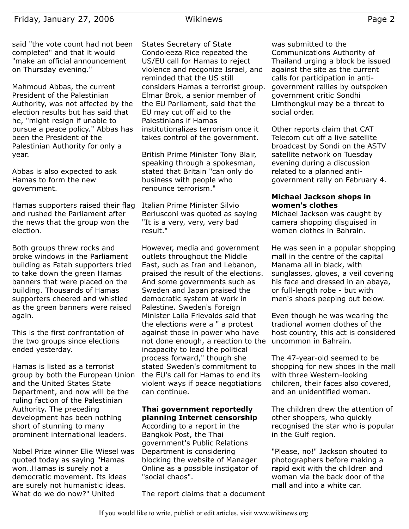Mahmoud Abbas, the current President of the Palestinian Authority, was not affected by the election results but has said that he, "might resign if unable to pursue a peace policy." Abbas has been the President of the Palestinian Authority for only a year.

Abbas is also expected to ask Hamas to form the new government.

Hamas supporters raised their flag and rushed the Parliament after the news that the group won the election.

Both groups threw rocks and broke windows in the Parliament building as Fatah supporters tried to take down the green Hamas banners that were placed on the building. Thousands of Hamas supporters cheered and whistled as the green banners were raised again.

This is the first confrontation of the two groups since elections ended yesterday.

Hamas is listed as a terrorist group by both the European Union and the United States State Department, and now will be the ruling faction of the Palestinian Authority. The preceding development has been nothing short of stunning to many prominent international leaders.

Nobel Prize winner Elie Wiesel was quoted today as saying "Hamas won..Hamas is surely not a democratic movement. Its ideas are surely not humanistic ideas. What do we do now?" United

States Secretary of State Condoleeza Rice repeated the US/EU call for Hamas to reject violence and recgonize Israel, and reminded that the US still considers Hamas a terrorist group. Elmar Brok, a senior member of the EU Parliament, said that the EU may cut off aid to the Palestinians if Hamas institutionalizes terrorism once it takes control of the government.

British Prime Minister Tony Blair, speaking through a spokesman, stated that Britain "can only do business with people who renounce terrorism."

Italian Prime Minister Silvio Berlusconi was quoted as saying "It is a very, very, very bad result."

However, media and government outlets throughout the Middle East, such as Iran and Lebanon, praised the result of the elections. And some governments such as Sweden and Japan praised the democratic system at work in Palestine. Sweden's Foreign Minister Laila Frievalds said that the elections were a " a protest against those in power who have not done enough, a reaction to the incapacity to lead the political process forward," though she stated Sweden's commitment to the EU's call for Hamas to end its violent ways if peace negotiations can continue.

# **Thai government reportedly planning Internet censorship**

According to a report in the Bangkok Post, the Thai government's Public Relations Department is considering blocking the website of Manager Online as a possible instigator of "social chaos".

The report claims that a document

was submitted to the Communications Authority of Thailand urging a block be issued against the site as the current calls for participation in antigovernment rallies by outspoken government critic Sondhi Limthongkul may be a threat to social order.

Other reports claim that CAT Telecom cut off a live satellite broadcast by Sondi on the ASTV satellite network on Tuesday evening during a discussion related to a planned antigovernment rally on February 4.

#### **Michael Jackson shops in women's clothes**

Michael Jackson was caught by camera shopping disguised in women clothes in Bahrain.

He was seen in a popular shopping mall in the centre of the capital Manama all in black, with sunglasses, gloves, a veil covering his face and dressed in an abaya, or full-length robe - but with men's shoes peeping out below.

Even though he was wearing the tradional women clothes of the host country, this act is considered uncommon in Bahrain.

The 47-year-old seemed to be shopping for new shoes in the mall with three Western-looking children, their faces also covered, and an unidentified woman.

The children drew the attention of other shoppers, who quickly recognised the star who is popular in the Gulf region.

"Please, no!" Jackson shouted to photographers before making a rapid exit with the children and woman via the back door of the mall and into a white car.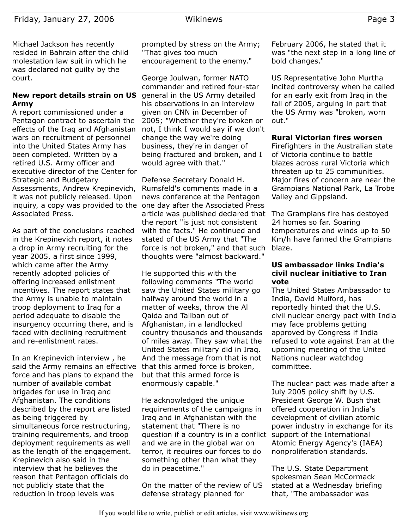Michael Jackson has recently resided in Bahrain after the child molestation law suit in which he was declared not guilty by the court.

# **New report details strain on US Army**

A report commissioned under a Pentagon contract to ascertain the effects of the Iraq and Afghanistan wars on recruitment of personnel into the United States Army has been completed. Written by a retired U.S. Army officer and executive director of the Center for Strategic and Budgetary Assessments, Andrew Krepinevich, it was not publicly released. Upon inquiry, a copy was provided to the one day after the Associated Press Associated Press.

As part of the conclusions reached in the Krepinevich report, it notes a drop in Army recruiting for the year 2005, a first since 1999, which came after the Army recently adopted policies of offering increased enlistment incentives. The report states that the Army is unable to maintain troop deployment to Iraq for a period adequate to disable the insurgency occurring there, and is faced with declining recruitment and re-enlistment rates.

In an Krepinevich interview , he said the Army remains an effective force and has plans to expand the number of available combat brigades for use in Iraq and Afghanistan. The conditions described by the report are listed as being triggered by simultaneous force restructuring, training requirements, and troop deployment requirements as well as the length of the engagement. Krepinevich also said in the interview that he believes the reason that Pentagon officials do not publicly state that the reduction in troop levels was

prompted by stress on the Army; "That gives too much encouragement to the enemy."

George Joulwan, former NATO commander and retired four-star general in the US Army detailed his observations in an interview given on CNN in December of 2005; "Whether they're broken or not, I think I would say if we don't change the way we're doing business, they're in danger of being fractured and broken, and I would agree with that."

Defense Secretary Donald H. Rumsfeld's comments made in a news conference at the Pentagon article was published declared that The Grampians fire has destoyed the report "is just not consistent with the facts." He continued and stated of the US Army that "The force is not broken," and that such thoughts were "almost backward."

He supported this with the following comments "The world saw the United States military go halfway around the world in a matter of weeks, throw the Al Qaida and Taliban out of Afghanistan, in a landlocked country thousands and thousands of miles away. They saw what the United States military did in Iraq. And the message from that is not that this armed force is broken, but that this armed force is enormously capable."

He acknowledged the unique requirements of the campaigns in Iraq and in Afghanistan with the statement that "There is no question if a country is in a conflict support of the International and we are in the global war on terror, it requires our forces to do something other than what they do in peacetime."

On the matter of the review of US defense strategy planned for

February 2006, he stated that it was "the next step in a long line of bold changes."

US Representative John Murtha incited controversy when he called for an early exit from Iraq in the fall of 2005, arguing in part that the US Army was "broken, worn out."

#### **Rural Victorian fires worsen**

Firefighters in the Australian state of Victoria continue to battle blazes across rural Victoria which threaten up to 25 communities. Major fires of concern are near the Grampians National Park, La Trobe Valley and Gippsland.

24 homes so far. Soaring temperatures and winds up to 50 Km/h have fanned the Grampians blaze.

#### **US ambassador links India's civil nuclear initiative to Iran vote**

The United States Ambassador to India, David Mulford, has reportedly hinted that the U.S. civil nuclear energy pact with India may face problems getting approved by Congress if India refused to vote against Iran at the upcoming meeting of the United Nations nuclear watchdog committee.

The nuclear pact was made after a July 2005 policy shift by U.S. President George W. Bush that offered cooperation in India's development of civilian atomic power industry in exchange for its Atomic Energy Agency's (IAEA) nonproliferation standards.

The U.S. State Department spokesman Sean McCormack stated at a Wednesday briefing that, "The ambassador was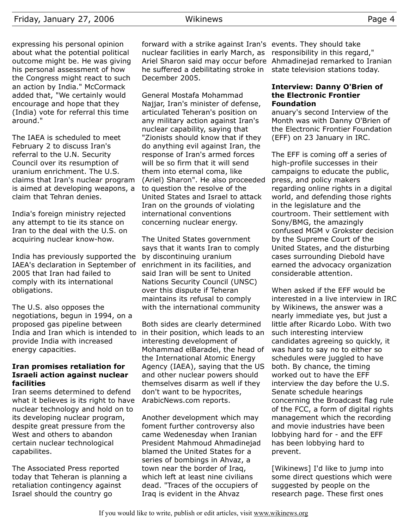expressing his personal opinion about what the potential political outcome might be. He was giving his personal assessment of how the Congress might react to such an action by India." McCormack added that, "We certainly would encourage and hope that they (India) vote for referral this time around."

The IAEA is scheduled to meet February 2 to discuss Iran's referral to the U.N. Security Council over its resumption of uranium enrichment. The U.S. claims that Iran's nuclear program is aimed at developing weapons, a claim that Tehran denies.

India's foreign ministry rejected any attempt to tie its stance on Iran to the deal with the U.S. on acquiring nuclear know-how.

India has previously supported the IAEA's declaration in September of 2005 that Iran had failed to comply with its international obligations.

The U.S. also opposes the negotiations, begun in 1994, on a proposed gas pipeline between India and Iran which is intended to provide India with increased energy capacities.

# **Iran promises retaliation for Israeli action against nuclear facilities**

Iran seems determined to defend what it believes is its right to have nuclear technology and hold on to its developing nuclear program, despite great pressure from the West and others to abandon certain nuclear technological capabilites.

The Associated Press reported today that Teheran is planning a retaliation contingency against Israel should the country go

forward with a strike against Iran's events. They should take nuclear facilities in early March, as Ariel Sharon said may occur before Ahmadinejad remarked to Iranian he suffered a debilitating stroke in December 2005.

General Mostafa Mohammad Najjar, Iran's minister of defense, articulated Teheran's position on any military action against Iran's nuclear capability, saying that "Zionists should know that if they do anything evil against Iran, the response of Iran's armed forces will be so firm that it will send them into eternal coma, like (Ariel) Sharon". He also proceeded to question the resolve of the United States and Israel to attack Iran on the grounds of violating international conventions concerning nuclear energy.

The United States government says that it wants Iran to comply by discontinuing uranium enrichment in its facilities, and said Iran will be sent to United Nations Security Council (UNSC) over this dispute if Teheran maintains its refusal to comply with the international community

Both sides are clearly determined in their position, which leads to an interesting development of Mohammad elBaradei, the head of the International Atomic Energy Agency (IAEA), saying that the US and other nuclear powers should themselves disarm as well if they don't want to be hypocrites, ArabicNews.com reports.

Another development which may foment further controversy also came Wedenesday when Iranian President Mahmoud Ahmadinejad blamed the United States for a series of bombings in Ahvaz, a town near the border of Iraq, which left at least nine civilians dead. "Traces of the occupiers of Iraq is evident in the Ahvaz

responsibility in this regard," state television stations today.

## **Interview: Danny O'Brien of the Electronic Frontier Foundation**

anuary's second Interview of the Month was with Danny O'Brien of the Electronic Frontier Foundation (EFF) on 23 January in IRC.

The EFF is coming off a series of high-profile successes in their campaigns to educate the public, press, and policy makers regarding online rights in a digital world, and defending those rights in the legislature and the courtroom. Their settlement with Sony/BMG, the amazingly confused MGM v Grokster decision by the Supreme Court of the United States, and the disturbing cases surrounding Diebold have earned the advocacy organization considerable attention.

When asked if the EFF would be interested in a live interview in IRC by Wikinews, the answer was a nearly immediate yes, but just a little after Ricardo Lobo. With two such interesting interview candidates agreeing so quickly, it was hard to say no to either so schedules were juggled to have both. By chance, the timing worked out to have the EFF interview the day before the U.S. Senate schedule hearings concerning the Broadcast flag rule of the FCC, a form of digital rights management which the recording and movie industries have been lobbying hard for - and the EFF has been lobbying hard to prevent.

[Wikinews] I'd like to jump into some direct questions which were suggested by people on the research page. These first ones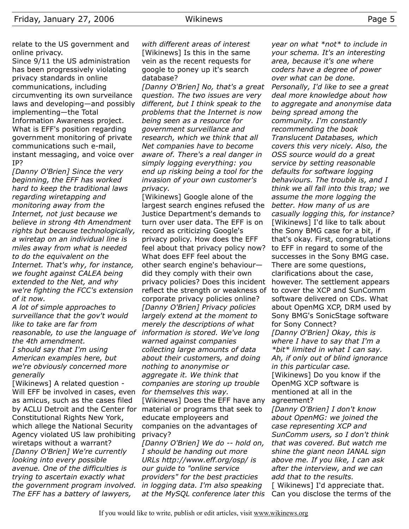Since 9/11 the US administration has been progressively violating privacy standards in online communications, including circumventing its own surveilance laws and developing—and possibly implementing—the Total Information Awareness project. What is EFF's position regarding government monitoring of private communications such e-mail, instant messaging, and voice over IP?

*[Danny O'Brien] Since the very beginning, the EFF has worked hard to keep the traditional laws regarding wiretapping and monitoring away from the Internet, not just because we believe in strong 4th Amendment rights but because technologically, a wiretap on an individual line is miles away from what is needed to do the equivalent on the Internet. That's why, for instance, we fought against CALEA being extended to the Net, and why we're fighting the FCC's extension of it now.*

*A lot of simple approaches to surveillance that the gov't would like to take are far from reasonable, to use the language of the 4th amendment. I should say that I'm using American examples here, but we're obviously concerned more generally*

[Wikinews] A related question - Will EFF be involved in cases, even as amicus, such as the cases filed by ACLU Detroit and the Center for material or programs that seek to Constitutional Rights New York, which allege the National Security Agency violated US law prohibiting wiretaps without a warrant? *[Danny O'Brien] We're currently looking into every possible avenue. One of the difficulties is trying to ascertain exactly what the government program involved. The EFF has a battery of lawyers,*

*with different areas of interest* [Wikinews] Is this in the same vein as the recent requests for google to poney up it's search database?

*[Danny O'Brien] No, that's a great question. The two issues are very different, but I think speak to the problems that the Internet is now being seen as a resource for government surveillance and research, which we think that all Net companies have to become aware of. There's a real danger in simply logging everything: you end up risking being a tool for the invasion of your own customer's privacy.*

[Wikinews] Google alone of the largest search engines refused the Justice Department's demands to turn over user data. The EFF is on record as criticizing Google's privacy policy. How does the EFF feel about that privacy policy now? What does EFF feel about the other search engine's behaviour did they comply with their own privacy policies? Does this incident reflect the strength or weakness of corporate privacy policies online? *[Danny O'Brien] Privacy policies largely extend at the moment to merely the descriptions of what information is stored. We've long warned against companies collecting large amounts of data about their customers, and doing nothing to anonymise or aggregate it. We think that companies are storing up trouble for themselves this way.* [Wikinews] Does the EFF have any educate employeers and companies on the advantages of privacy?

*[Danny O'Brien] We do -- hold on, I should be handing out more URLs http://www.eff.org/osp/ is our guide to "online service providers" for the best practicies in logging data. I'm also speaking at the MySQL conference later this*

*year on what \*not\* to include in your schema. It's an interesting area, because it's one where coders have a degree of power over what can be done. Personally, I'd like to see a great deal more knowledge about how to aggregate and anonymise data being spread among the community. I'm constantly recommending the book Translucent Databases, which covers this very nicely. Also, the OSS source would do a great service by setting reasonable defaults for software logging behaviours. The trouble is, and I think we all fall into this trap; we assume the more logging the better. How many of us are casually logging this, for instance?* [Wikinews] I'd like to talk about the Sony BMG case for a bit, if that's okay. First, congratulations to EFF in regard to some of the successes in the Sony BMG case. There are some questions, clarifications about the case, however. The settlement appears to cover the XCP and SunComm software delivered on CDs. What about OpenMG XCP, DRM used by Sony BMG's SonicStage software for Sony Connect? *[Danny O'Brien] Okay, this is where I have to say that I'm a \*bit\* limited in what I can say. Ah, if only out of blind ignorance in this particular case.* [Wikinews] Do you know if the OpenMG XCP software is mentioned at all in the agreement?

*[Danny O'Brien] I don't know about OpenMG: we joined the case representing XCP and SunComm users, so I don't think that was covered. But watch me shine the giant neon IANAL sign above me. If you like, I can ask after the interview, and we can add that to the results.* [ Wikinews] I'd appreciate that.

Can you disclose the terms of the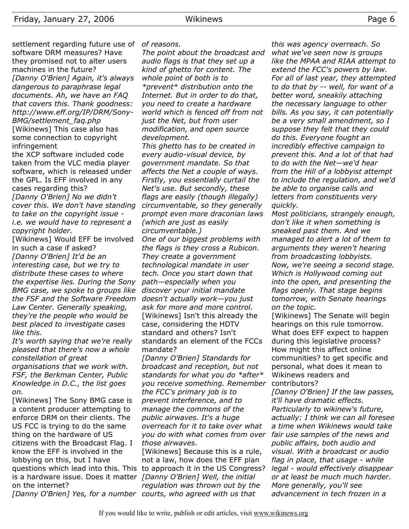settlement regarding future use of *of reasons.* software DRM measures? Have they promised not to alter users machines in the future? *[Danny O'Brien] Again, it's always dangerous to paraphrase legal documents. Ah, we have an FAQ that covers this. Thank goodness: http://www.eff.org/IP/DRM/Sony-BMG/settlement\_faq.php*

[Wikinews] This case also has some connection to copyright infringement

the XCP software included code taken from the VLC media player software, which is released under the GPL. Is EFF involved in any cases regarding this?

*[Danny O'Brien] No we didn't cover this. We don't have standing to take on the copyright issue i.e. we would have to represent a copyright holder.*

[Wikinews] Would EFF be involved in such a case if asked? *[Danny O'Brien] It'd be an interesting case, but we try to distribute these cases to where the expertise lies. During the Sony BMG case, we spoke to groups like the FSF and the Software Freedom doesn't actually work—you just Law Center. Generally speaking, they're the people who would be best placed to investigate cases like this.*

*It's worth saying that we're really pleased that there's now a whole constellation of great organisations that we work with. FSF, the Berkman Center, Public Knowledge in D.C., the list goes on.*

[Wikinews] The Sony BMG case is a content producer attempting to enforce DRM on their clients. The US FCC is trying to do the same thing on the hardware of US citizens with the Broadcast Flag. I know the EFF is involved in the lobbying on this, but I have questions which lead into this. This to approach it in the US Congress? is a hardware issue. Does it matter *[Danny O'Brien] Well, the initial* on the internet?

*The point about the broadcast and audio flags is that they set up a kind of ghetto for content. The whole point of both is to \*prevent\* distribution onto the Internet. But in order to do that, you need to create a hardware world which is fenced off from not just the Net, but from user modification, and open source development.*

*This ghetto has to be created in every audio-visual device, by government mandate. So that affects the Net a couple of ways. Firstly, you essentially curtail the Net's use. But secondly, these flags are easily (though illegally) circumventable, so they generally prompt even more draconian laws (which are just as easily*

*circumventable.) One of our biggest problems with the flags is they cross a Rubicon. They create a government technological mandate in user tech. Once you start down that path—especially when you discover your initial mandate ask for more and more control.* [Wikinews] Isn't this already the case, considering the HDTV standard and others? Isn't standards an element of the FCCs mandate?

*[Danny O'Brien] Standards for broadcast and reception, but not standards for what you do \*after\* you receive something. Remember the FCC's primary job is to prevent interference, and to manage the commons of the public airwaves. It's a huge overreach for it to take over what you do with what comes from over those airwaves.*

*[Danny O'Brien] Yes, for a number courts, who agreed with us that* [Wikinews] Because this is a rule, not a law, how does the EFF plan *regulation was thrown out by the*

*this was agency overreach. So what we've seen now is groups like the MPAA and RIAA attempt to extend the FCC's powers by law. For all of last year, they attempted to do that by -- well, for want of a better word, sneakily attaching the necessary language to other bills. As you say, it can potentially be a very small amendment, so I suppose they felt that they could do this. Everyone fought an incredibly effective campaign to prevent this. And a lot of that had to do with the Net—we'd hear from the Hill of a lobbyist attempt to include the regulation, and we'd be able to organise calls and letters from constituents very quickly.*

*Most politicians, strangely enough, don't like it when something is sneaked past them. And we managed to alert a lot of them to arguments they weren't hearing from broadcasting lobbyists. Now, we're seeing a second stage. Which is Hollywood coming out into the open, and presenting the flags openly. That stage begins tomorrow, with Senate hearings on the topic.*

[Wikinews] The Senate will begin hearings on this rule tomorrow. What does EFF expect to happen during this legislative process? How might this affect online communities? to get specific and personal, what does it mean to Wikinews readers and contributors?

*[Danny O'Brien] If the law passes, it'll have dramatic effects. Particularly to wikinew's future, actually: I think we can all foresee a time when Wikinews would take fair use samples of the news and public affairs, both audio and visual. With a broadcast or audio flag in place, that usage - while legal - would effectively disappear or at least be much much harder. More generally, you'll see advancement in tech frozen in a*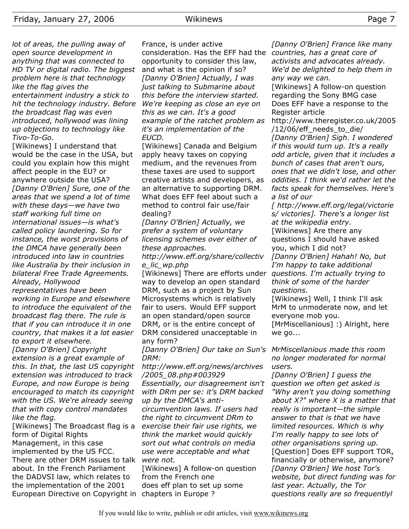*lot of areas, the pulling away of open source development in anything that was connected to HD TV or digital radio. The biggest problem here is that technology like the flag gives the entertainment industry a stick to hit the technology industry. Before the broadcast flag was even introduced, hollywood was lining up objections to technology like Tivo-To-Go.*

[Wikinews] I understand that would be the case in the USA, but could you explain how this might affect people in the EU? or anywhere outside the USA? *[Danny O'Brien] Sure, one of the areas that we spend a lot of time with these days—we have two staff working full time on international issues—is what's called policy laundering. So for instance, the worst provisions of the DMCA have generally been introduced into law in countries like Australia by their inclusion in bilateral Free Trade Agreements. Already, Hollywood representatives have been*

*working in Europe and elsewhere to introduce the equivalent of the broadcast flag there. The rule is that if you can introduce it in one country, that makes it a lot easier to export it elsewhere.*

*[Danny O'Brien] Copyright extension is a great example of this. In that, the last US copyright extension was introduced to track Europe, and now Europe is being encouraged to match its copyright with the US. We're already seeing that with copy control mandates like the flag.*

[Wikinews] The Broadcast flag is a form of Digital Rights Management, in this case implemented by the US FCC. There are other DRM issues to talk about. In the French Parliament the DADVSI law, which relates to the implementation of the 2001 European Directive on Copyright in chapters in Europe ?

France, is under active consideration. Has the EFF had the *countries, has a great core of* opportunity to consider this law, and what is the opinion if so? *[Danny O'Brien] Actually, I was just talking to Submarine about this before the interview started. We're keeping as close an eye on this as we can. It's a good example of the ratchet problem as it's an implementation of the EUCD.*

[Wikinews] Canada and Belgium apply heavy taxes on copying medium, and the revenues from these taxes are used to support creative artists and developers, as an alternative to supporting DRM. What does EFF feel about such a method to control fair use/fair dealing?

*[Danny O'Brien] Actually, we prefer a system of voluntary licensing schemes over either of these approaches.*

*http://www.eff.org/share/collectiv e\_lic\_wp.php*

[Wikinews] There are efforts under way to develop an open standard DRM, such as a project by Sun Microsystems which is relatively fair to users. Would EFF support an open standard/open source DRM, or is the entire concept of DRM considered unacceptable in any form?

*[Danny O'Brien] Our take on Sun's MrMiscellanious made this room DRM:*

*http://www.eff.org/news/archives /2005\_08.php#003929 Essentially, our disagreement isn't with DRm per se: it's DRM backed up by the DMCA's anticircumvention laws. If users had the right to circumvent DRm to exercise their fair use rights, we think the market would quickly sort out what controls on media use were acceptable and what were not.*

[Wikinews] A follow-on question from the French one does eff plan to set up some

*[Danny O'Brien] France like many activists and advocates already. We'd be delighted to help them in any way we can.*

[Wikinews] A follow-on question regarding the Sony BMG case Does EFF have a response to the Register article

http://www.theregister.co.uk/2005 /12/06/eff\_needs\_to\_die/ *[Danny O'Brien] Sigh. I wondered if this would turn up. It's a really odd article, given that it includes a bunch of cases that aren't ours, ones that we didn't lose, and other oddities. I think we'd rather let the facts speak for themselves. Here's a list of our*

*[ http://www.eff.org/legal/victorie s/ victories]. There's a longer list at the wikipedia entry.*

[Wikinews] Are there any questions I should have asked you, which I did not?

*[Danny O'Brien] Hahah! No, but I'm happy to take additional questions. I'm actually trying to think of some of the harder questions.*

[Wikinews] Well, I think I'll ask MrM to unmoderate now, and let everyone mob you.

[MrMiscellanious] :) Alright, here we go...

*no longer moderated for normal users.*

*[Danny O'Brien] I guess the question we often get asked is "Why aren't you doing something about X?" where X is a matter that really is important—the simple answer to that is that we have limited resources. Which is why I'm really happy to see lots of other organisations spring up.* [Question] Does EFF support TOR, financially or otherwise, anymore? *[Danny O'Brien] We host Tor's website, but direct funding was for last year. Actually, the Tor questions really are so frequentlyl*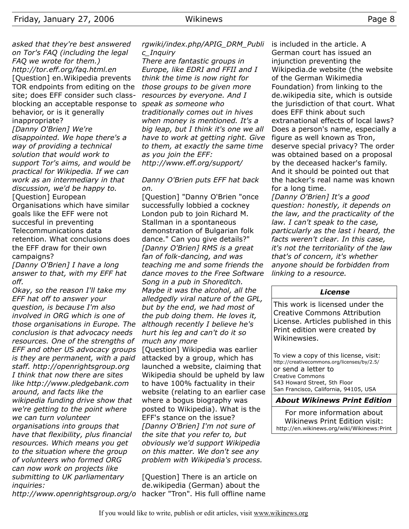*asked that they're best answered on Tor's FAQ (including the legal FAQ we wrote for them.) http://tor.eff.org/faq.html.en* [Question] en.Wikipedia prevents TOR endpoints from editing on the site; does EFF consider such classblocking an acceptable response to *speak as someone who* behavior, or is it generally inappropriate?

*[Danny O'Brien] We're disappointed. We hope there's a way of providing a technical solution that would work to support Tor's aims, and would be practical for Wikipedia. If we can work as an intermediary in that discussion, we'd be happy to.* [Question] European

Organisations which have similar goals like the EFF were not succesful in preventing Telecommunications data retention. What conclusions does the EFF draw for their own campaigns?

*[Danny O'Brien] I have a long answer to that, with my EFF hat off.*

*Okay, so the reason I'll take my EFF hat off to answer your question, is because I'm also involved in ORG which is one of those organisations in Europe. The conclusion is that advocacy needs resources. One of the strengths of EFF and other US advocacy groups is they are permanent, with a paid staff. http://openrightsgroup.org I think that now there are sites like http://www.pledgebank.com around, and facts like the wikipedia funding drive show that we're getting to the point where we can turn volunteer organisations into groups that have that flexibility, plus financial resources. Which means you get to the situation where the group of volunteers who formed ORG can now work on projects like submitting to UK parliamentary inquiries:*

*http://www.openrightsgroup.org/o*

*rgwiki/index.php/APIG\_DRM\_Publi c\_Inquiry*

*There are fantastic groups in Europe, like EDRI and FFII and I think the time is now right for those groups to be given more resources by everyone. And I traditionally comes out in hives when money is mentioned. It's a big leap, but I think it's one we all have to work at getting right. Give to them, at exactly the same time as you join the EFF: http://www.eff.org/support/*

## *Danny O'Brien puts EFF hat back on.*

[Question] "Danny O'Brien "once successfully lobbied a cockney London pub to join Richard M. Stallman in a spontaneous demonstration of Bulgarian folk dance." Can you give details?" *[Danny O'Brien] RMS is a great fan of folk-dancing, and was teaching me and some friends the dance moves to the Free Software Song in a pub in Shoreditch. Maybe it was the alcohol, all the alledgedly viral nature of the GPL, but by the end, we had most of the pub doing them. He loves it, although recently I believe he's hurt his leg and can't do it so much any more*

[Question] Wikipedia was earlier attacked by a group, which has launched a website, claiming that Wikipedia should be upheld by law to have 100% factuality in their website (relating to an earlier case where a bogus biography was posted to Wikipedia). What is the EFF's stance on the issue? *[Danny O'Brien] I'm not sure of the site that you refer to, but obviously we'd support Wikipedia on this matter. We don't see any problem with Wikipedia's process.*

[Question] There is an article on de.wikipedia (German) about the hacker "Tron". His full offline name is included in the article. A German court has issued an injunction preventing the Wikipedia.de website (the website of the German Wikimedia Foundation) from linking to the de.wikipedia site, which is outside the jurisdiction of that court. What does EFF think about such extranational effects of local laws? Does a person's name, especially a figure as well known as Tron, deserve special privacy? The order was obtained based on a proposal by the deceased hacker's family. And it should be pointed out that the hacker's real name was known for a long time.

*[Danny O'Brien] It's a good question: honestly, it depends on the law, and the practicality of the law. I can't speak to the case, particularly as the last i heard, the facts weren't clear. In this case, it's not the territoriality of the law that's of concern, it's whether anyone should be forbidden from linking to a resource.*

#### *License*

This work is licensed under the Creative Commons Attribution License. Articles published in this Print edition were created by Wikinewsies.

To view a copy of this license, visit: http://creativecommons.org/licenses/by/2.5/ or send a letter to Creative Commons 543 Howard Street, 5th Floor San Francisco, California, 94105, USA

#### *About Wikinews Print Edition*

For more information about Wikinews Print Edition visit: http://en.wikinews.org/wiki/Wikinews:Print